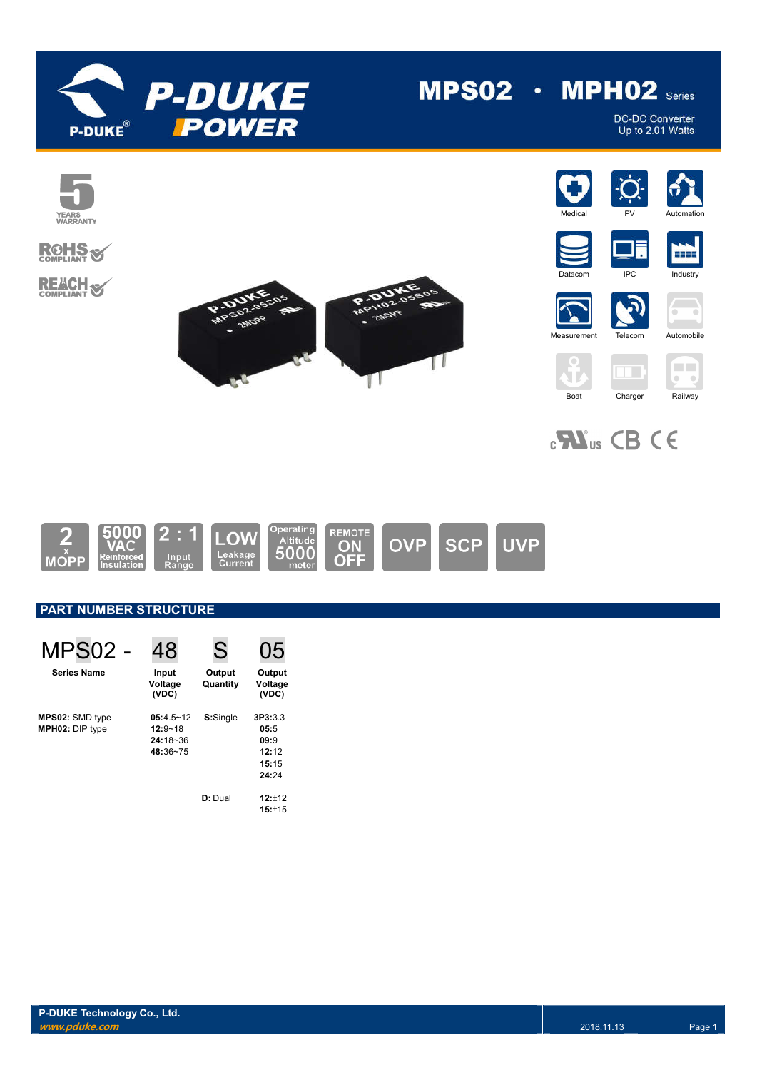

# $MPS02 \cdot MPH02$  series

DC-DC Converter Up to 2.01 Watts



## **ROHS REACH S**

























## **PART NUMBER STRUCTURE**

| MPS <sub>02</sub>                         | 48                                                       | S                  | 05                                                 |
|-------------------------------------------|----------------------------------------------------------|--------------------|----------------------------------------------------|
| <b>Series Name</b>                        | Input<br>Voltage<br>(VDC)                                | Output<br>Quantity | Output<br>Voltage<br>(VDC)                         |
| MPS02: SMD type<br><b>MPH02: DIP type</b> | $05:4.5 - 12$<br>$12:9 - 18$<br>$24:18 - 36$<br>48:36~75 | S:Single           | 3P3:3.3<br>05:5<br>09:9<br>12:12<br>15:15<br>24:24 |
|                                           |                                                          | D: Dual            | 12:12<br>15:±15                                    |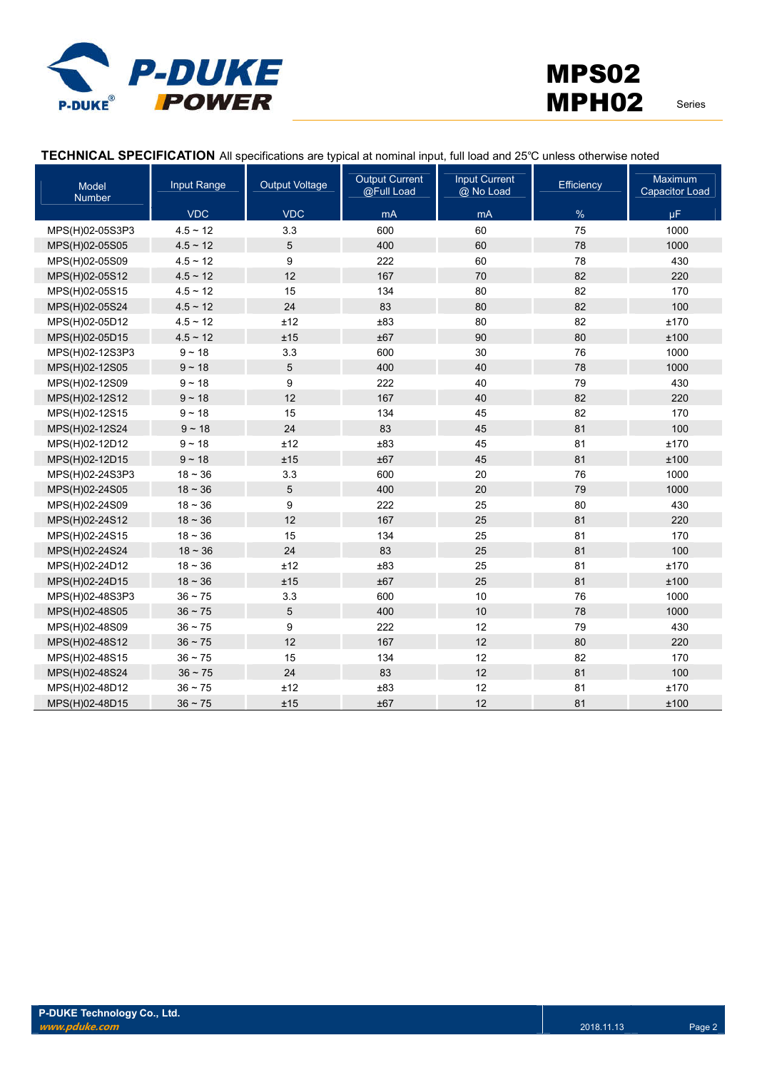

## **TECHNICAL SPECIFICATION** All specifications are typical at nominal input, full load and 25℃ unless otherwise noted

| Model<br><b>Number</b> | Input Range   | <b>Output Voltage</b> | <b>Output Current</b><br>@Full Load | <b>Input Current</b><br>@ No Load | Efficiency | Maximum<br><b>Capacitor Load</b> |
|------------------------|---------------|-----------------------|-------------------------------------|-----------------------------------|------------|----------------------------------|
|                        | <b>VDC</b>    | <b>VDC</b>            | mA                                  | mA                                | $\%$       | $\mu$ F                          |
| MPS(H)02-05S3P3        | $4.5 \sim 12$ | 3.3                   | 600                                 | 60                                | 75         | 1000                             |
| MPS(H)02-05S05         | $4.5 \sim 12$ | 5                     | 400                                 | 60                                | 78         | 1000                             |
| MPS(H)02-05S09         | $4.5 \sim 12$ | 9                     | 222                                 | 60                                | 78         | 430                              |
| MPS(H)02-05S12         | $4.5 \sim 12$ | 12                    | 167                                 | 70                                | 82         | 220                              |
| MPS(H)02-05S15         | $4.5 \sim 12$ | 15                    | 134                                 | 80                                | 82         | 170                              |
| MPS(H)02-05S24         | $4.5 \sim 12$ | 24                    | 83                                  | 80                                | 82         | 100                              |
| MPS(H)02-05D12         | $4.5 \sim 12$ | ±12                   | ±83                                 | 80                                | 82         | ±170                             |
| MPS(H)02-05D15         | $4.5 \sim 12$ | ±15                   | ±67                                 | 90                                | 80         | ±100                             |
| MPS(H)02-12S3P3        | $9 - 18$      | 3.3                   | 600                                 | 30                                | 76         | 1000                             |
| MPS(H)02-12S05         | $9 - 18$      | 5                     | 400                                 | 40                                | 78         | 1000                             |
| MPS(H)02-12S09         | $9 - 18$      | 9                     | 222                                 | 40                                | 79         | 430                              |
| MPS(H)02-12S12         | $9 - 18$      | 12                    | 167                                 | 40                                | 82         | 220                              |
| MPS(H)02-12S15         | $9 - 18$      | 15                    | 134                                 | 45                                | 82         | 170                              |
| MPS(H)02-12S24         | $9 - 18$      | 24                    | 83                                  | 45                                | 81         | 100                              |
| MPS(H)02-12D12         | $9 - 18$      | ±12                   | ±83                                 | 45                                | 81         | ±170                             |
| MPS(H)02-12D15         | $9 - 18$      | ±15                   | ±67                                 | 45                                | 81         | ±100                             |
| MPS(H)02-24S3P3        | $18 - 36$     | 3.3                   | 600                                 | 20                                | 76         | 1000                             |
| MPS(H)02-24S05         | $18 - 36$     | 5                     | 400                                 | 20                                | 79         | 1000                             |
| MPS(H)02-24S09         | $18 - 36$     | 9                     | 222                                 | 25                                | 80         | 430                              |
| MPS(H)02-24S12         | $18 - 36$     | 12                    | 167                                 | 25                                | 81         | 220                              |
| MPS(H)02-24S15         | $18 - 36$     | 15                    | 134                                 | 25                                | 81         | 170                              |
| MPS(H)02-24S24         | $18 - 36$     | 24                    | 83                                  | 25                                | 81         | 100                              |
| MPS(H)02-24D12         | $18 - 36$     | ±12                   | ±83                                 | 25                                | 81         | ±170                             |
| MPS(H)02-24D15         | $18 - 36$     | ±15                   | ±67                                 | 25                                | 81         | ±100                             |
| MPS(H)02-48S3P3        | $36 - 75$     | 3.3                   | 600                                 | 10                                | 76         | 1000                             |
| MPS(H)02-48S05         | $36 - 75$     | 5                     | 400                                 | 10                                | 78         | 1000                             |
| MPS(H)02-48S09         | $36 \sim 75$  | 9                     | 222                                 | 12                                | 79         | 430                              |
| MPS(H)02-48S12         | $36 - 75$     | 12                    | 167                                 | 12                                | 80         | 220                              |
| MPS(H)02-48S15         | $36 - 75$     | 15                    | 134                                 | 12                                | 82         | 170                              |
| MPS(H)02-48S24         | $36 - 75$     | 24                    | 83                                  | 12                                | 81         | 100                              |
| MPS(H)02-48D12         | $36 - 75$     | ±12                   | ±83                                 | 12                                | 81         | ±170                             |
| MPS(H)02-48D15         | $36 - 75$     | ±15                   | ±67                                 | 12                                | 81         | ±100                             |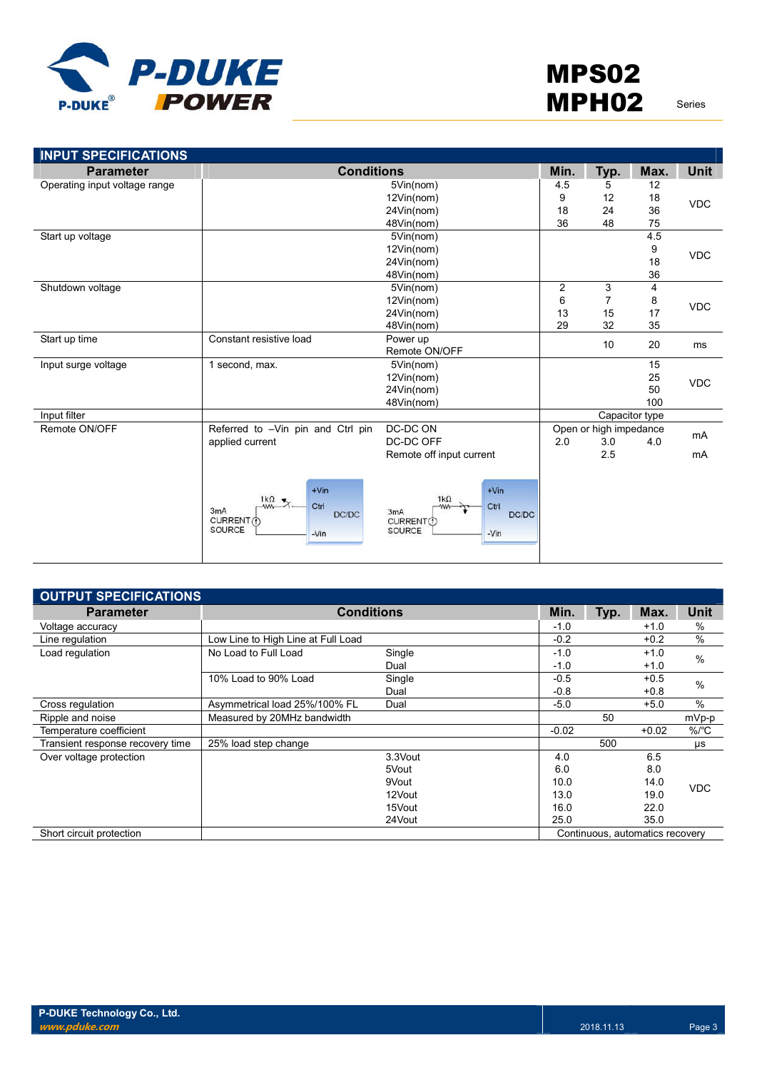

| <b>INPUT SPECIFICATIONS</b>   |                                                                                                 |                                                                                         |      |                        |                |             |
|-------------------------------|-------------------------------------------------------------------------------------------------|-----------------------------------------------------------------------------------------|------|------------------------|----------------|-------------|
| <b>Parameter</b>              | <b>Conditions</b>                                                                               |                                                                                         | Min. | Typ.                   | Max.           | <b>Unit</b> |
| Operating input voltage range |                                                                                                 | 5Vin(nom)                                                                               | 4.5  | 5                      | 12             |             |
|                               |                                                                                                 | 12Vin(nom)                                                                              | 9    | 12                     | 18             | <b>VDC</b>  |
|                               |                                                                                                 | 24Vin(nom)                                                                              | 18   | 24                     | 36             |             |
|                               |                                                                                                 | 48Vin(nom)                                                                              | 36   | 48                     | 75             |             |
| Start up voltage              |                                                                                                 | 5Vin(nom)                                                                               |      |                        | 4.5            |             |
|                               |                                                                                                 | 12Vin(nom)                                                                              |      |                        | 9              | <b>VDC</b>  |
|                               |                                                                                                 | 24Vin(nom)                                                                              |      |                        | 18             |             |
|                               |                                                                                                 | 48Vin(nom)                                                                              |      |                        | 36             |             |
| Shutdown voltage              |                                                                                                 | 5Vin(nom)                                                                               | 2    | 3                      | 4              |             |
|                               |                                                                                                 | 12Vin(nom)                                                                              | 6    | $\overline{7}$         | 8              | <b>VDC</b>  |
|                               |                                                                                                 | 24Vin(nom)                                                                              | 13   | 15                     | 17             |             |
|                               |                                                                                                 | 48Vin(nom)                                                                              | 29   | 32                     | 35             |             |
| Start up time                 | Constant resistive load                                                                         | Power up                                                                                |      | 10                     | 20             | ms          |
|                               |                                                                                                 | Remote ON/OFF                                                                           |      |                        |                |             |
| Input surge voltage           | 1 second, max.                                                                                  | 5Vin(nom)                                                                               |      |                        | 15             |             |
|                               |                                                                                                 | 12Vin(nom)                                                                              |      |                        | 25             | <b>VDC</b>  |
|                               |                                                                                                 | 24Vin(nom)                                                                              |      |                        | 50             |             |
|                               |                                                                                                 | 48Vin(nom)                                                                              |      |                        | 100            |             |
| Input filter                  |                                                                                                 |                                                                                         |      |                        | Capacitor type |             |
| Remote ON/OFF                 | Referred to -Vin pin and Ctrl pin                                                               | DC-DC ON                                                                                |      | Open or high impedance |                | mA          |
|                               | applied current                                                                                 | DC-DC OFF                                                                               | 2.0  | 3.0                    | 4.0            |             |
|                               |                                                                                                 | Remote off input current                                                                |      | 2.5                    |                | mA          |
|                               | $+V$ in<br>1 $k\Omega$ $\pi$<br>Ctrl<br>-ww-<br>3mA<br>DC/DC<br>CURRENT (f)<br>SOURCE<br>$-Vin$ | $+V$ in<br>$1k\Omega$<br>Ctrl<br>-ww-<br>3mA<br>DC/DC<br>CURRENT(f)<br>SOURCE<br>$-Vin$ |      |                        |                |             |

| <b>OUTPUT SPECIFICATIONS</b>     |                                    |         |         |      |                                 |            |
|----------------------------------|------------------------------------|---------|---------|------|---------------------------------|------------|
| <b>Parameter</b>                 | <b>Conditions</b>                  |         | Min.    | Typ. | Max.                            | Unit       |
| Voltage accuracy                 |                                    |         | $-1.0$  |      | $+1.0$                          | $\%$       |
| Line regulation                  | Low Line to High Line at Full Load |         | $-0.2$  |      | $+0.2$                          | %          |
| Load regulation                  | No Load to Full Load               | Single  | $-1.0$  |      | $+1.0$                          | $\%$       |
|                                  |                                    | Dual    | $-1.0$  |      | $+1.0$                          |            |
|                                  | 10% Load to 90% Load               | Single  | $-0.5$  |      | $+0.5$                          | %          |
|                                  |                                    | Dual    | $-0.8$  |      | $+0.8$                          |            |
| Cross regulation                 | Asymmetrical load 25%/100% FL      | Dual    | $-5.0$  |      | $+5.0$                          | $\%$       |
| Ripple and noise                 | Measured by 20MHz bandwidth        |         |         | 50   |                                 | mVp-p      |
| Temperature coefficient          |                                    |         | $-0.02$ |      | $+0.02$                         | $\%$ /°C   |
| Transient response recovery time | 25% load step change               |         |         | 500  |                                 | μs         |
| Over voltage protection          |                                    | 3.3Vout | 4.0     |      | 6.5                             |            |
|                                  |                                    | 5Vout   | 6.0     |      | 8.0                             |            |
|                                  |                                    | 9Vout   | 10.0    |      | 14.0                            | <b>VDC</b> |
|                                  |                                    | 12Vout  | 13.0    |      | 19.0                            |            |
|                                  |                                    | 15Vout  | 16.0    |      | 22.0                            |            |
|                                  |                                    | 24Vout  | 25.0    |      | 35.0                            |            |
| Short circuit protection         |                                    |         |         |      | Continuous, automatics recovery |            |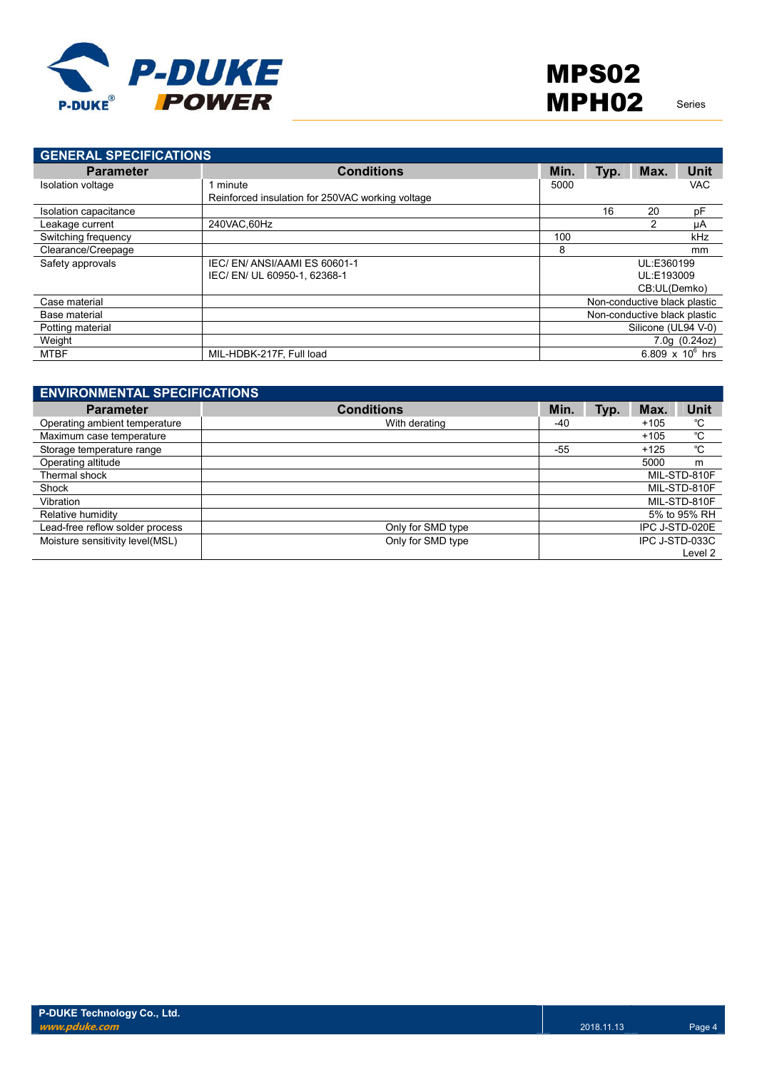

| <b>GENERAL SPECIFICATIONS</b> |                                                  |      |      |                              |                    |
|-------------------------------|--------------------------------------------------|------|------|------------------------------|--------------------|
| <b>Parameter</b>              | <b>Conditions</b>                                | Min. | Typ. | Max.                         | <b>Unit</b>        |
| Isolation voltage             | minute                                           | 5000 |      |                              | <b>VAC</b>         |
|                               | Reinforced insulation for 250VAC working voltage |      |      |                              |                    |
| Isolation capacitance         |                                                  |      | 16   | 20                           | pF                 |
| Leakage current               | 240VAC.60Hz                                      |      |      | 2                            | μA                 |
| Switching frequency           |                                                  | 100  |      |                              | kHz                |
| Clearance/Creepage            |                                                  | 8    |      |                              | mm                 |
| Safety approvals              | IEC/EN/ANSI/AAMI ES 60601-1                      |      |      | UL:E360199                   |                    |
|                               | IEC/EN/UL 60950-1, 62368-1                       |      |      | UL:E193009                   |                    |
|                               |                                                  |      |      | CB:UL(Demko)                 |                    |
| Case material                 |                                                  |      |      | Non-conductive black plastic |                    |
| Base material                 |                                                  |      |      | Non-conductive black plastic |                    |
| Potting material              |                                                  |      |      | Silicone (UL94 V-0)          |                    |
| Weight                        |                                                  |      |      |                              | 7.0q(0.24oz)       |
| MTBF                          | MIL-HDBK-217F, Full load                         |      |      |                              | 6.809 x $10^6$ hrs |

| <b>ENVIRONMENTAL SPECIFICATIONS</b> |                   |       |      |        |                |
|-------------------------------------|-------------------|-------|------|--------|----------------|
| <b>Parameter</b>                    | <b>Conditions</b> | Min.  | Typ. | Max.   | <b>Unit</b>    |
| Operating ambient temperature       | With derating     | -40   |      | $+105$ | °C             |
| Maximum case temperature            |                   |       |      | $+105$ | °C             |
| Storage temperature range           |                   | $-55$ |      | $+125$ | °C             |
| Operating altitude                  |                   |       |      | 5000   | m              |
| Thermal shock                       |                   |       |      |        | MIL-STD-810F   |
| Shock                               |                   |       |      |        | MIL-STD-810F   |
| Vibration                           |                   |       |      |        | MIL-STD-810F   |
| Relative humidity                   |                   |       |      |        | 5% to 95% RH   |
| Lead-free reflow solder process     | Only for SMD type |       |      |        | IPC J-STD-020E |
| Moisture sensitivity level(MSL)     | Only for SMD type |       |      |        | IPC J-STD-033C |
|                                     |                   |       |      |        | Level 2        |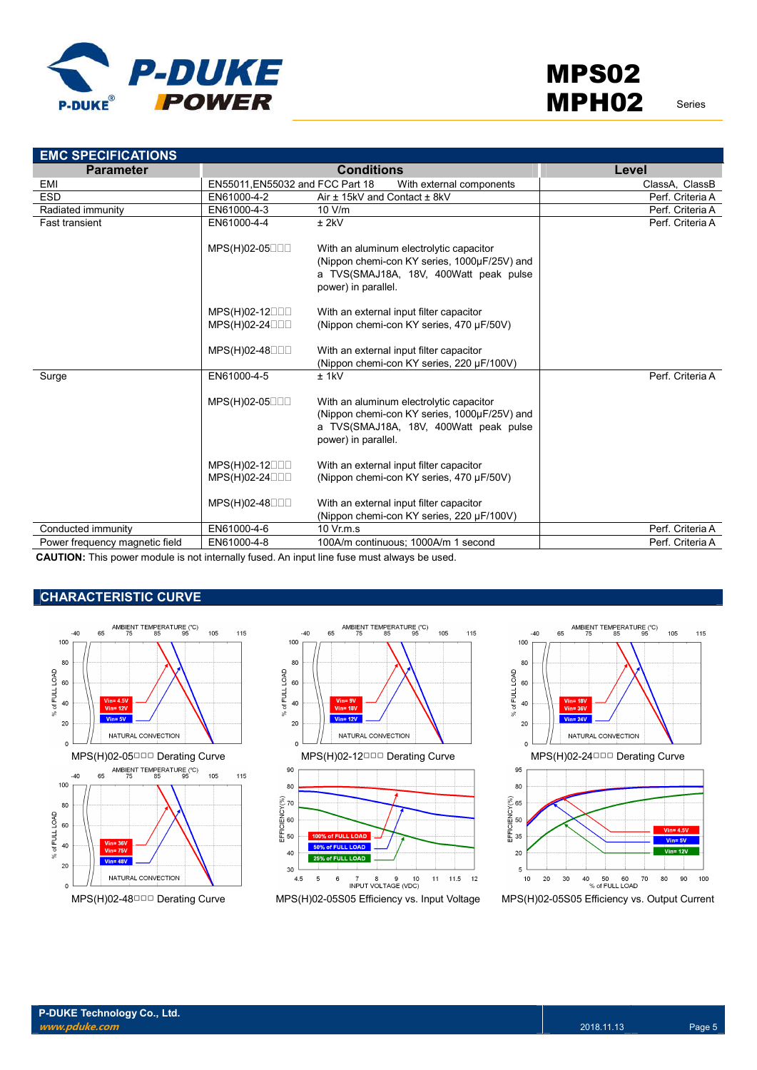

| <b>EMC SPECIFICATIONS</b>      |                                  |                                                                                                                                                          |                  |
|--------------------------------|----------------------------------|----------------------------------------------------------------------------------------------------------------------------------------------------------|------------------|
| <b>Parameter</b>               |                                  | <b>Conditions</b>                                                                                                                                        | Level            |
| <b>EMI</b>                     | EN55011, EN55032 and FCC Part 18 | With external components                                                                                                                                 | ClassA, ClassB   |
| <b>ESD</b>                     | EN61000-4-2                      | Air ± 15kV and Contact ± 8kV                                                                                                                             | Perf. Criteria A |
| Radiated immunity              | EN61000-4-3                      | 10 V/m                                                                                                                                                   | Perf. Criteria A |
| <b>Fast transient</b>          | EN61000-4-4                      | $±$ 2kV                                                                                                                                                  | Perf. Criteria A |
|                                | $MPS(H)02-05$                    | With an aluminum electrolytic capacitor<br>(Nippon chemi-con KY series, 1000µF/25V) and<br>a TVS(SMAJ18A, 18V, 400Watt peak pulse<br>power) in parallel. |                  |
|                                | $MPS(H)02-12$                    | With an external input filter capacitor                                                                                                                  |                  |
|                                | MPS(H)02-24000                   | (Nippon chemi-con KY series, 470 µF/50V)                                                                                                                 |                  |
|                                |                                  |                                                                                                                                                          |                  |
|                                | MPS(H)02-48000                   | With an external input filter capacitor                                                                                                                  |                  |
|                                |                                  | (Nippon chemi-con KY series, 220 µF/100V)                                                                                                                |                  |
| Surge                          | EN61000-4-5                      | $±$ 1 $kV$                                                                                                                                               | Perf. Criteria A |
|                                | $MPS(H)02-05$                    | With an aluminum electrolytic capacitor<br>(Nippon chemi-con KY series, 1000µF/25V) and<br>a TVS(SMAJ18A, 18V, 400Watt peak pulse<br>power) in parallel. |                  |
|                                | $MPS(H)02-12$                    | With an external input filter capacitor                                                                                                                  |                  |
|                                | $MPS(H)02-24$                    | (Nippon chemi-con KY series, 470 µF/50V)                                                                                                                 |                  |
|                                | MPS(H)02-48000                   | With an external input filter capacitor<br>(Nippon chemi-con KY series, 220 µF/100V)                                                                     |                  |
| Conducted immunity             | EN61000-4-6                      | 10 Vr.m.s                                                                                                                                                | Perf. Criteria A |
| Power frequency magnetic field | EN61000-4-8                      | 100A/m continuous; 1000A/m 1 second                                                                                                                      | Perf. Criteria A |

**CAUTION:** This power module is not internally fused. An input line fuse must always be used.

## **CHARACTERISTIC CURVE**





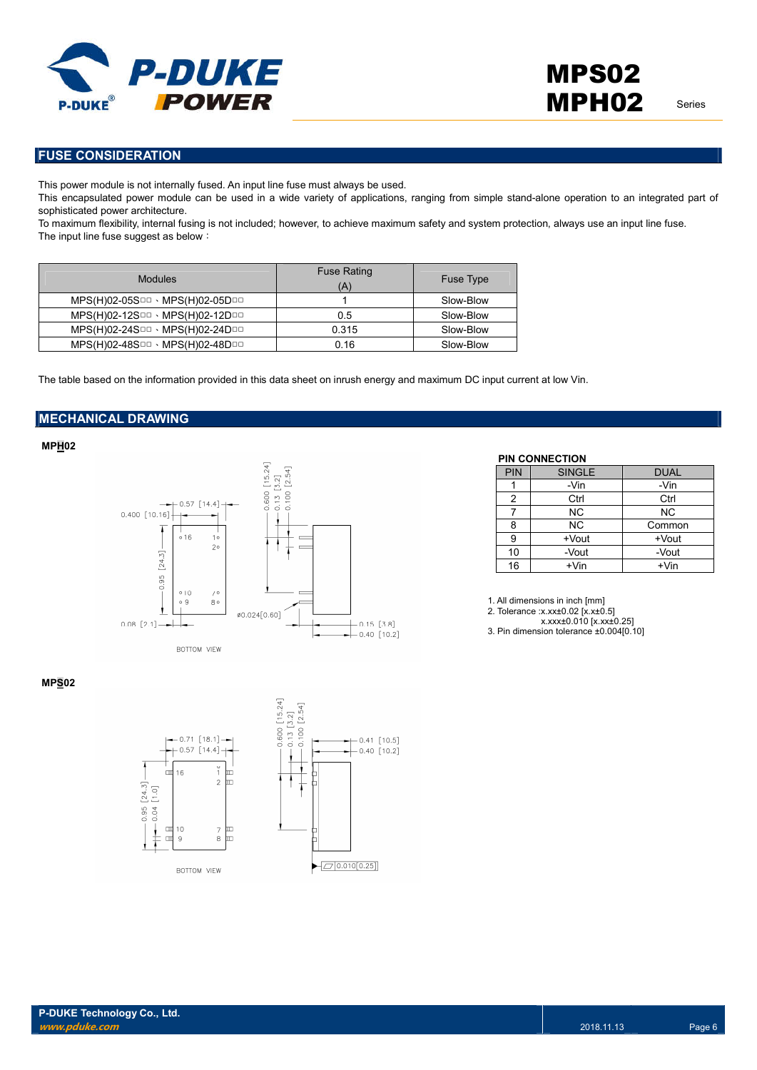

**FUSE CONSIDERATION**

This power module is not internally fused. An input line fuse must always be used.

This encapsulated power module can be used in a wide variety of applications, ranging from simple stand-alone operation to an integrated part of sophisticated power architecture.

To maximum flexibility, internal fusing is not included; however, to achieve maximum safety and system protection, always use an input line fuse. The input line fuse suggest as below:

| <b>Modules</b>                                        | <b>Fuse Rating</b><br>(A) | <b>Fuse Type</b> |
|-------------------------------------------------------|---------------------------|------------------|
| $MPS(H)02-05S$ DD · MPS $(H)02-05D$ DD                |                           | Slow-Blow        |
| $MPS(H)02-12S \Box \Box \cdot MPS(H)02-12D \Box \Box$ | 0.5                       | Slow-Blow        |
| $MPS(H)02-24S \Box \Box \cdot MPS(H)02-24D \Box \Box$ | 0.315                     | Slow-Blow        |
| MPS(H)02-48SOD · MPS(H)02-48DOD                       | 0.16                      | Slow-Blow        |

The table based on the information provided in this data sheet on inrush energy and maximum DC input current at low Vin.

## **MECHANICAL DRAWING**

**MPH02**



## **PIN CONNECTION**

| PIN           | <b>SINGLE</b> | <b>DUAL</b> |
|---------------|---------------|-------------|
|               | -Vin          | -Vin        |
| $\mathcal{P}$ | Ctrl          | Ctrl        |
|               | <b>NC</b>     | <b>NC</b>   |
|               |               |             |
| 8             | <b>NC</b>     | Common      |
| 9             | +Vout         | +Vout       |
| 10            | -Vout         | -Vout       |

1. All dimensions in inch [mm]

2. Tolerance :x.xx±0.02 [x.x±0.5]

x.xxx±0.010 [x.xx±0.25]

3. Pin dimension tolerance ±0.004[0.10]

#### **MPS02**